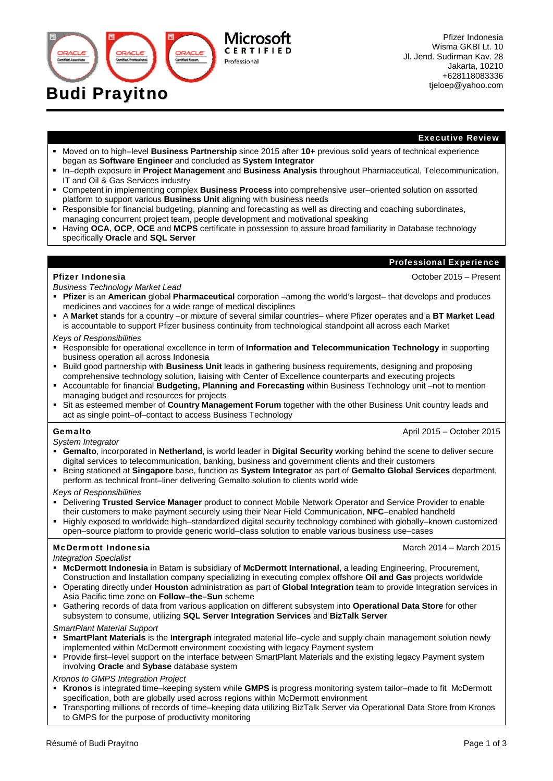#### Pfizer Indonesia Wisma GKBI Lt. 10 Jl. Jend. Sudirman Kav. 28 Jakarta, 10210 +628118083336 tjeloep@yahoo.com

#### Executive Review

 Moved on to high–level **Business Partnership** since 2015 after **10+** previous solid years of technical experience began as **Software Engineer** and concluded as **System Integrator**

Microsoft

**Professional** 

- In–depth exposure in **Project Management** and **Business Analysis** throughout Pharmaceutical, Telecommunication, IT and Oil & Gas Services industry
- Competent in implementing complex **Business Process** into comprehensive user–oriented solution on assorted platform to support various **Business Unit** aligning with business needs
- Responsible for financial budgeting, planning and forecasting as well as directing and coaching subordinates, managing concurrent project team, people development and motivational speaking
- Having **OCA**, **OCP**, **OCE** and **MCPS** certificate in possession to assure broad familiarity in Database technology specifically **Oracle** and **SQL Server**

### Professional Experience

Pfizer Indonesia October 2015 – Present

*Business Technology Market Lead* 

Budi Prayitno

- **Pfizer** is an **American** global **Pharmaceutical** corporation –among the world's largest– that develops and produces medicines and vaccines for a wide range of medical disciplines
- A **Market** stands for a country –or mixture of several similar countries– where Pfizer operates and a **BT Market Lead** is accountable to support Pfizer business continuity from technological standpoint all across each Market

*Keys of Responsibilities* 

- Responsible for operational excellence in term of **Information and Telecommunication Technology** in supporting business operation all across Indonesia
- Build good partnership with **Business Unit** leads in gathering business requirements, designing and proposing comprehensive technology solution, liaising with Center of Excellence counterparts and executing projects
- Accountable for financial **Budgeting, Planning and Forecasting** within Business Technology unit –not to mention managing budget and resources for projects
- Sit as esteemed member of **Country Management Forum** together with the other Business Unit country leads and act as single point–of–contact to access Business Technology

#### Gemalto April 2015 – October 2015

*System Integrator* 

- **Gemalto**, incorporated in **Netherland**, is world leader in **Digital Security** working behind the scene to deliver secure digital services to telecommunication, banking, business and government clients and their customers
- Being stationed at **Singapore** base, function as **System Integrator** as part of **Gemalto Global Services** department, perform as technical front–liner delivering Gemalto solution to clients world wide

*Keys of Responsibilities* 

- Delivering **Trusted Service Manager** product to connect Mobile Network Operator and Service Provider to enable their customers to make payment securely using their Near Field Communication, **NFC**–enabled handheld
- Highly exposed to worldwide high–standardized digital security technology combined with globally–known customized open–source platform to provide generic world–class solution to enable various business use–cases

#### McDermott Indonesia **March 2014 – March 2015** March 2014 – March 2015

*Integration Specialist* 

- **McDermott Indonesia** in Batam is subsidiary of **McDermott International**, a leading Engineering, Procurement, Construction and Installation company specializing in executing complex offshore **Oil and Gas** projects worldwide
- Operating directly under **Houston** administration as part of **Global Integration** team to provide Integration services in Asia Pacific time zone on **Follow–the–Sun** scheme
- Gathering records of data from various application on different subsystem into **Operational Data Store** for other subsystem to consume, utilizing **SQL Server Integration Services** and **BizTalk Server**

*SmartPlant Material Support* 

- **SmartPlant Materials** is the **Intergraph** integrated material life–cycle and supply chain management solution newly implemented within McDermott environment coexisting with legacy Payment system
- Provide first–level support on the interface between SmartPlant Materials and the existing legacy Payment system involving **Oracle** and **Sybase** database system

*Kronos to GMPS Integration Project* 

- **Kronos** is integrated time–keeping system while **GMPS** is progress monitoring system tailor–made to fit McDermott specification, both are globally used across regions within McDermott environment
- Transporting millions of records of time–keeping data utilizing BizTalk Server via Operational Data Store from Kronos to GMPS for the purpose of productivity monitoring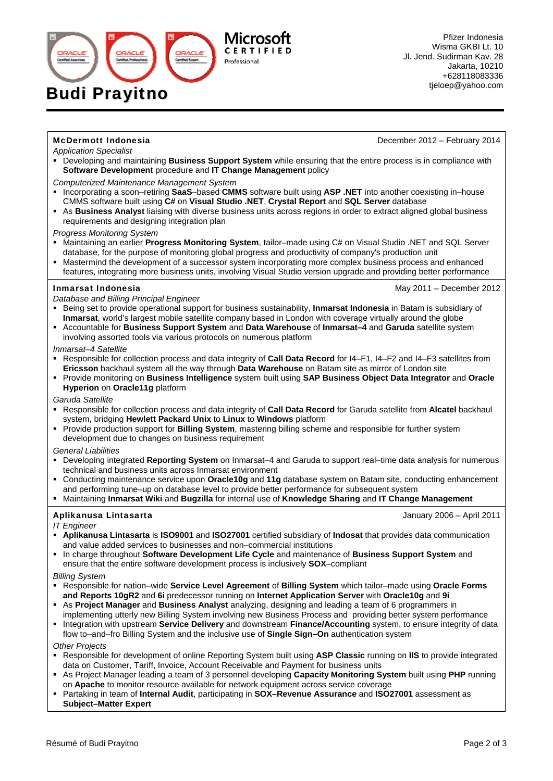

*Application Specialist* 

McDermott Indonesia **December 2012** – February 2014

- Developing and maintaining **Business Support System** while ensuring that the entire process is in compliance with **Software Development** procedure and **IT Change Management** policy
- *Computerized Maintenance Management System*
- Incorporating a soon–retiring **SaaS**–based **CMMS** software built using **ASP .NET** into another coexisting in–house CMMS software built using **C#** on **Visual Studio .NET**, **Crystal Report** and **SQL Server** database
- As **Business Analyst** liaising with diverse business units across regions in order to extract aligned global business requirements and designing integration plan

*Progress Monitoring System* 

- Maintaining an earlier **Progress Monitoring System**, tailor–made using C# on Visual Studio .NET and SQL Server database, for the purpose of monitoring global progress and productivity of company's production unit
- Mastermind the development of a successor system incorporating more complex business process and enhanced features, integrating more business units, involving Visual Studio version upgrade and providing better performance

#### **Inmarsat Indonesia** May 2011 – December 2012

*Database and Billing Principal Engineer* 

- Being set to provide operational support for business sustainability, **Inmarsat Indonesia** in Batam is subsidiary of **Inmarsat**, world's largest mobile satellite company based in London with coverage virtually around the globe
- Accountable for **Business Support System** and **Data Warehouse** of **Inmarsat–4** and **Garuda** satellite system involving assorted tools via various protocols on numerous platform

*Inmarsat–4 Satellite* 

- Responsible for collection process and data integrity of **Call Data Record** for I4–F1, I4–F2 and I4–F3 satellites from **Ericsson** backhaul system all the way through **Data Warehouse** on Batam site as mirror of London site
- Provide monitoring on **Business Intelligence** system built using **SAP Business Object Data Integrator** and **Oracle Hyperion** on **Oracle11g** platform

*Garuda Satellite* 

- Responsible for collection process and data integrity of **Call Data Record** for Garuda satellite from **Alcatel** backhaul system, bridging **Hewlett Packard Unix** to **Linux** to **Windows** platform
- Provide production support for **Billing System**, mastering billing scheme and responsible for further system development due to changes on business requirement

*General Liabilities* 

- Developing integrated **Reporting System** on Inmarsat–4 and Garuda to support real–time data analysis for numerous technical and business units across Inmarsat environment
- Conducting maintenance service upon **Oracle10g** and **11g** database system on Batam site, conducting enhancement and performing tune–up on database level to provide better performance for subsequent system
- Maintaining **Inmarsat Wiki** and **Bugzilla** for internal use of **Knowledge Sharing** and **IT Change Management**

*IT Engineer* 

Aplikanusa Lintasarta January 2006 – April 2011

- **Aplikanusa Lintasarta** is **ISO9001** and **ISO27001** certified subsidiary of **Indosat** that provides data communication and value added services to businesses and non–commercial institutions
- In charge throughout **Software Development Life Cycle** and maintenance of **Business Support System** and ensure that the entire software development process is inclusively **SOX**–compliant

*Billing System* 

- Responsible for nation–wide **Service Level Agreement** of **Billing System** which tailor–made using **Oracle Forms and Reports 10gR2** and **6i** predecessor running on **Internet Application Server** with **Oracle10g** and **9i**
- As **Project Manager** and **Business Analyst** analyzing, designing and leading a team of 6 programmers in
- implementing utterly new Billing System involving new Business Process and providing better system performance Integration with upstream **Service Delivery** and downstream **Finance/Accounting** system, to ensure integrity of data flow to–and–fro Billing System and the inclusive use of **Single Sign–On** authentication system

*Other Projects* 

- Responsible for development of online Reporting System built using **ASP Classic** running on **IIS** to provide integrated data on Customer, Tariff, Invoice, Account Receivable and Payment for business units
- As Project Manager leading a team of 3 personnel developing **Capacity Monitoring System** built using **PHP** running on **Apache** to monitor resource available for network equipment across service coverage
- Partaking in team of **Internal Audit**, participating in **SOX–Revenue Assurance** and **ISO27001** assessment as **Subject–Matter Expert**